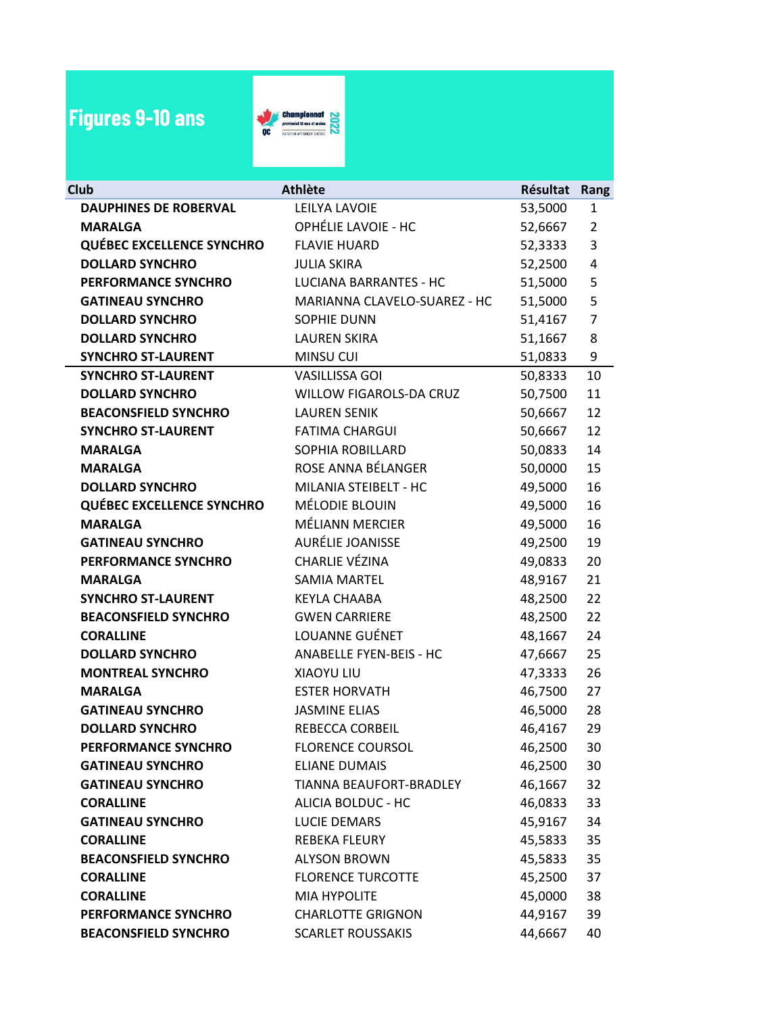## **Figures 9-10 ans**



| Club                             | <b>Athlète</b>                 | Résultat | Rang                    |
|----------------------------------|--------------------------------|----------|-------------------------|
| <b>DAUPHINES DE ROBERVAL</b>     | LEILYA LAVOIE                  | 53,5000  | 1                       |
| <b>MARALGA</b>                   | OPHÉLIE LAVOIE - HC            | 52,6667  | $\overline{2}$          |
| <b>QUÉBEC EXCELLENCE SYNCHRO</b> | <b>FLAVIE HUARD</b>            | 52,3333  | 3                       |
| <b>DOLLARD SYNCHRO</b>           | <b>JULIA SKIRA</b>             | 52,2500  | $\overline{\mathbf{4}}$ |
| PERFORMANCE SYNCHRO              | <b>LUCIANA BARRANTES - HC</b>  | 51,5000  | 5                       |
| <b>GATINEAU SYNCHRO</b>          | MARIANNA CLAVELO-SUAREZ - HC   | 51,5000  | 5                       |
| <b>DOLLARD SYNCHRO</b>           | <b>SOPHIE DUNN</b>             | 51,4167  | $\overline{7}$          |
| <b>DOLLARD SYNCHRO</b>           | <b>LAUREN SKIRA</b>            | 51,1667  | 8                       |
| <b>SYNCHRO ST-LAURENT</b>        | <b>MINSU CUI</b>               | 51,0833  | 9                       |
| <b>SYNCHRO ST-LAURENT</b>        | <b>VASILLISSA GOI</b>          | 50,8333  | 10                      |
| <b>DOLLARD SYNCHRO</b>           | WILLOW FIGAROLS-DA CRUZ        | 50,7500  | 11                      |
| <b>BEACONSFIELD SYNCHRO</b>      | <b>LAUREN SENIK</b>            | 50,6667  | 12                      |
| <b>SYNCHRO ST-LAURENT</b>        | <b>FATIMA CHARGUI</b>          | 50,6667  | 12                      |
| <b>MARALGA</b>                   | SOPHIA ROBILLARD               | 50,0833  | 14                      |
| <b>MARALGA</b>                   | ROSE ANNA BÉLANGER             | 50,0000  | 15                      |
| <b>DOLLARD SYNCHRO</b>           | MILANIA STEIBELT - HC          | 49,5000  | 16                      |
| <b>QUÉBEC EXCELLENCE SYNCHRO</b> | MÉLODIE BLOUIN                 | 49,5000  | 16                      |
| <b>MARALGA</b>                   | MÉLIANN MERCIER                | 49,5000  | 16                      |
| <b>GATINEAU SYNCHRO</b>          | AURÉLIE JOANISSE               | 49,2500  | 19                      |
| PERFORMANCE SYNCHRO              | CHARLIE VÉZINA                 | 49,0833  | 20                      |
| <b>MARALGA</b>                   | <b>SAMIA MARTEL</b>            | 48,9167  | 21                      |
| <b>SYNCHRO ST-LAURENT</b>        | <b>KEYLA CHAABA</b>            | 48,2500  | 22                      |
| <b>BEACONSFIELD SYNCHRO</b>      | <b>GWEN CARRIERE</b>           | 48,2500  | 22                      |
| <b>CORALLINE</b>                 | LOUANNE GUÉNET                 | 48,1667  | 24                      |
| <b>DOLLARD SYNCHRO</b>           | <b>ANABELLE FYEN-BEIS - HC</b> | 47,6667  | 25                      |
| <b>MONTREAL SYNCHRO</b>          | XIAOYU LIU                     | 47,3333  | 26                      |
| <b>MARALGA</b>                   | <b>ESTER HORVATH</b>           | 46,7500  | 27                      |
| <b>GATINEAU SYNCHRO</b>          | <b>JASMINE ELIAS</b>           | 46,5000  | 28                      |
| <b>DOLLARD SYNCHRO</b>           | <b>REBECCA CORBEIL</b>         | 46,4167  | 29                      |
| PERFORMANCE SYNCHRO              | <b>FLORENCE COURSOL</b>        | 46,2500  | 30                      |
| <b>GATINEAU SYNCHRO</b>          | <b>ELIANE DUMAIS</b>           | 46,2500  | 30                      |
| <b>GATINEAU SYNCHRO</b>          | TIANNA BEAUFORT-BRADLEY        | 46,1667  | 32                      |
| <b>CORALLINE</b>                 | ALICIA BOLDUC - HC             | 46,0833  | 33                      |
| <b>GATINEAU SYNCHRO</b>          | LUCIE DEMARS                   | 45,9167  | 34                      |
| <b>CORALLINE</b>                 | REBEKA FLEURY                  | 45,5833  | 35                      |
| <b>BEACONSFIELD SYNCHRO</b>      | <b>ALYSON BROWN</b>            | 45,5833  | 35                      |
| <b>CORALLINE</b>                 | <b>FLORENCE TURCOTTE</b>       | 45,2500  | 37                      |
| <b>CORALLINE</b>                 | <b>MIA HYPOLITE</b>            | 45,0000  | 38                      |
| PERFORMANCE SYNCHRO              | <b>CHARLOTTE GRIGNON</b>       | 44,9167  | 39                      |
| <b>BEACONSFIELD SYNCHRO</b>      | <b>SCARLET ROUSSAKIS</b>       | 44,6667  | 40                      |